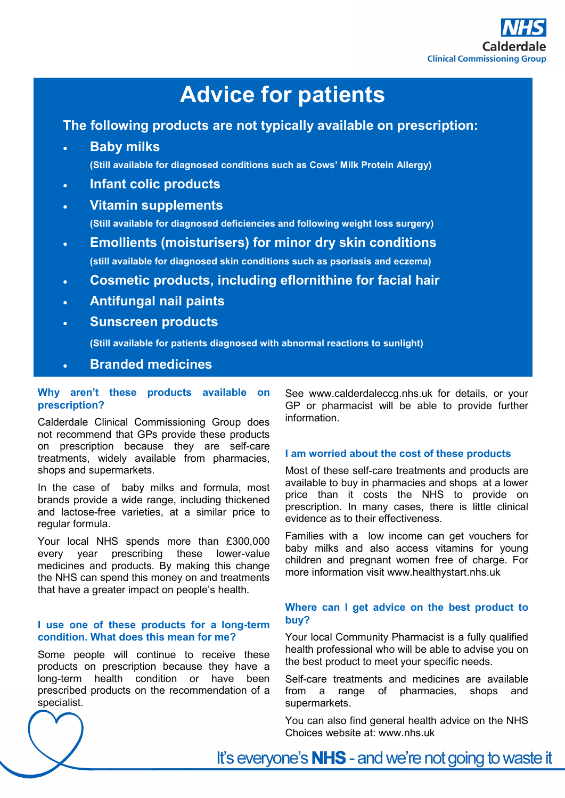

# **Advice for patients**

### **The following products are not typically available on prescription:**

- **Baby milks (Still available for diagnosed conditions such as Cows' Milk Protein Allergy)**
- **Infant colic products**
- **Vitamin supplements**

**(Still available for diagnosed deficiencies and following weight loss surgery)**

- **Emollients (moisturisers) for minor dry skin conditions (still available for diagnosed skin conditions such as psoriasis and eczema)**
- **Cosmetic products, including eflornithine for facial hair**
- **Antifungal nail paints**
- **Sunscreen products**

**(Still available for patients diagnosed with abnormal reactions to sunlight)**

**Branded medicines**

### **Why aren't these products available on prescription?**

Calderdale Clinical Commissioning Group does not recommend that GPs provide these products on prescription because they are self-care treatments, widely available from pharmacies, shops and supermarkets.

In the case of baby milks and formula, most brands provide a wide range, including thickened and lactose-free varieties, at a similar price to regular formula.

Your local NHS spends more than £300,000 every year prescribing these lower-value medicines and products. By making this change the NHS can spend this money on and treatments that have a greater impact on people's health.

### **I use one of these products for a long-term condition. What does this mean for me?**

Some people will continue to receive these products on prescription because they have a long-term health condition or have been prescribed products on the recommendation of a specialist.

See www.calderdaleccg.nhs.uk for details, or your GP or pharmacist will be able to provide further information.

### **I am worried about the cost of these products**

Most of these self-care treatments and products are available to buy in pharmacies and shops at a lower price than it costs the NHS to provide on prescription. In many cases, there is little clinical evidence as to their effectiveness.

Families with a low income can get vouchers for baby milks and also access vitamins for young children and pregnant women free of charge. For more information visit www.healthystart.nhs.uk

### **Where can I get advice on the best product to buy?**

Your local Community Pharmacist is a fully qualified health professional who will be able to advise you on the best product to meet your specific needs.

Self-care treatments and medicines are available from a range of pharmacies, shops and supermarkets.

You can also find general health advice on the NHS Choices website at: www.nhs.uk